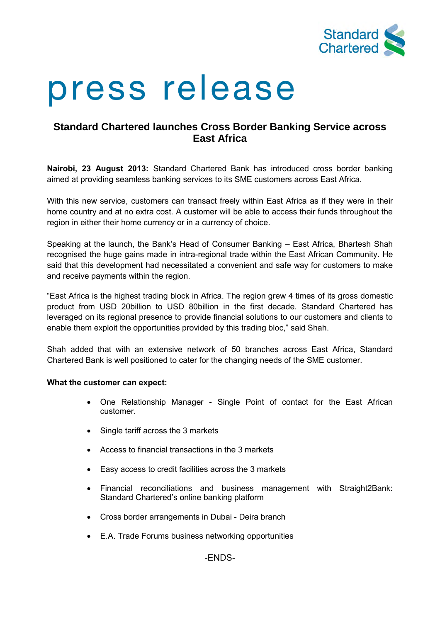

# press release

# **Standard Chartered launches Cross Border Banking Service across East Africa**

**Nairobi, 23 August 2013:** Standard Chartered Bank has introduced cross border banking aimed at providing seamless banking services to its SME customers across East Africa.

With this new service, customers can transact freely within East Africa as if they were in their home country and at no extra cost. A customer will be able to access their funds throughout the region in either their home currency or in a currency of choice.

Speaking at the launch, the Bank's Head of Consumer Banking – East Africa, Bhartesh Shah recognised the huge gains made in intra-regional trade within the East African Community. He said that this development had necessitated a convenient and safe way for customers to make and receive payments within the region.

"East Africa is the highest trading block in Africa. The region grew 4 times of its gross domestic product from USD 20billion to USD 80billion in the first decade. Standard Chartered has leveraged on its regional presence to provide financial solutions to our customers and clients to enable them exploit the opportunities provided by this trading bloc," said Shah.

Shah added that with an extensive network of 50 branches across East Africa, Standard Chartered Bank is well positioned to cater for the changing needs of the SME customer.

# **What the customer can expect:**

- One Relationship Manager Single Point of contact for the East African customer.
- Single tariff across the 3 markets
- Access to financial transactions in the 3 markets
- Easy access to credit facilities across the 3 markets
- Financial reconciliations and business management with Straight2Bank: Standard Chartered's online banking platform
- Cross border arrangements in Dubai Deira branch
- E.A. Trade Forums business networking opportunities

-ENDS-